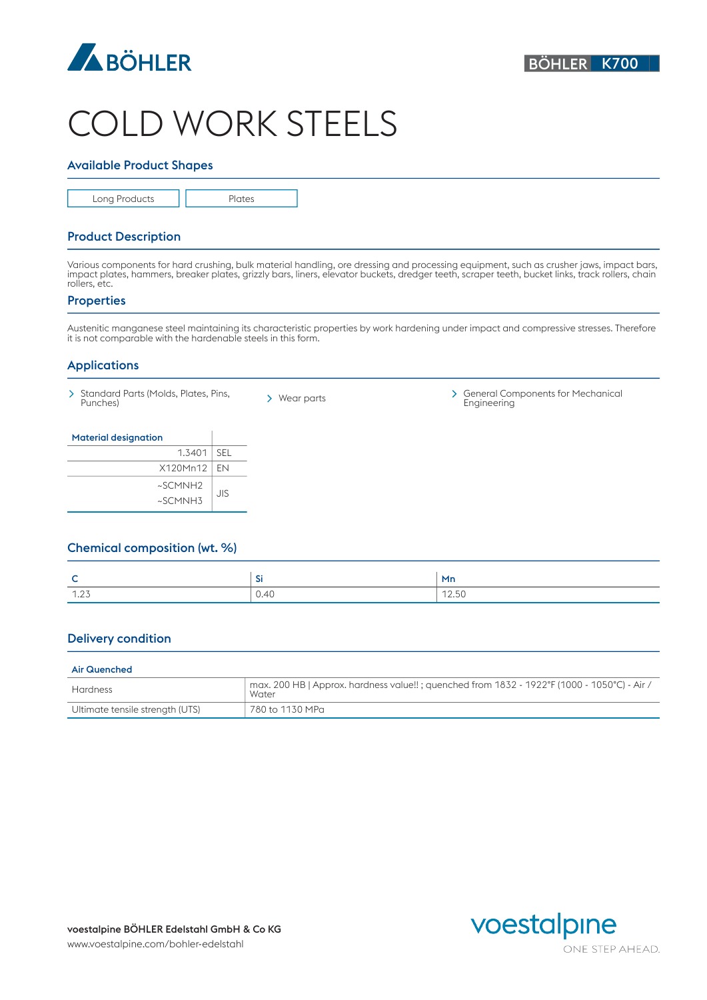

# COLD WORK STEELS

### Available Product Shapes

Long Products | | Plates

## Product Description

Various components for hard crushing, bulk material handling, ore dressing and processing equipment, such as crusher jaws, impact bars, impact plates, hammers, breaker plates, grizzly bars, liners, elevator buckets, dredger teeth, scraper teeth, bucket links, track rollers, chain rollers, etc.

### **Properties**

Austenitic manganese steel maintaining its characteristic properties by work hardening under impact and compressive stresses. Therefore it is not comparable with the hardenable steels in this form.

### Applications

- 
- 

Standard Parts (Molds, Plates, Pins, > Wear parts > General Components for Mechanical<br>Punches) > Wear parts Engineering Engineering

| <b>Material designation</b> |     |
|-----------------------------|-----|
| 1.3401                      | SEL |
| X120Mn12   EN               |     |
| ~SCMNH2<br>~SCMNH3          | JIS |

# Chemical composition (wt. %)

| ∽<br>∼         | <b>Section</b><br>-91 | Mn    |
|----------------|-----------------------|-------|
| 1.27<br>ل ∠، ا | 0.40                  | 12.50 |

# Delivery condition

#### Air Quenched

| Hardness                        | $\pm$ max. 200 HB   Approx. hardness value!! ; quenched from 1832 - 1922°F (1000 - 1050°C) - Air /<br>Water |
|---------------------------------|-------------------------------------------------------------------------------------------------------------|
| Ultimate tensile strength (UTS) | 780 to 1130 MPa                                                                                             |